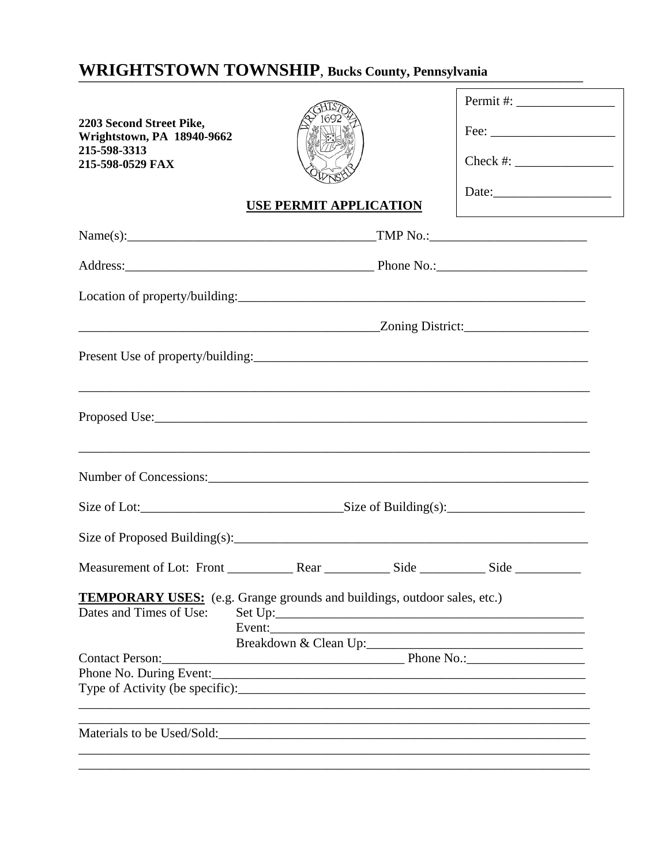## **WRIGHTSTOWN TOWNSHIP, Bucks County, Pennsylvania**

| 2203 Second Street Pike,<br>Wrightstown, PA 18940-9662<br>215-598-3313<br>215-598-0529 FAX |                                                                                                                                                  | Check #: |
|--------------------------------------------------------------------------------------------|--------------------------------------------------------------------------------------------------------------------------------------------------|----------|
|                                                                                            | <b>USE PERMIT APPLICATION</b>                                                                                                                    |          |
|                                                                                            |                                                                                                                                                  |          |
|                                                                                            |                                                                                                                                                  |          |
|                                                                                            |                                                                                                                                                  |          |
|                                                                                            | <u>2001 - Zoning District:</u>                                                                                                                   |          |
|                                                                                            |                                                                                                                                                  |          |
|                                                                                            |                                                                                                                                                  |          |
|                                                                                            | ,我们也不能在这里的时候,我们也不能在这里的时候,我们也不能会在这里的时候,我们也不能会在这里的时候,我们也不能会在这里的时候,我们也不能会在这里的时候,我们也不                                                                |          |
|                                                                                            | Size of Lot: $\frac{\text{Size of Building}(s)}{s}$                                                                                              |          |
|                                                                                            | Size of Proposed Building(s): $\frac{1}{2}$                                                                                                      |          |
|                                                                                            |                                                                                                                                                  |          |
| Dates and Times of Use:                                                                    | <b>TEMPORARY USES:</b> (e.g. Grange grounds and buildings, outdoor sales, etc.)<br>Event:<br>Breakdown & Clean Up:<br>Contact Person: Phone No.: |          |
|                                                                                            |                                                                                                                                                  |          |
|                                                                                            |                                                                                                                                                  |          |